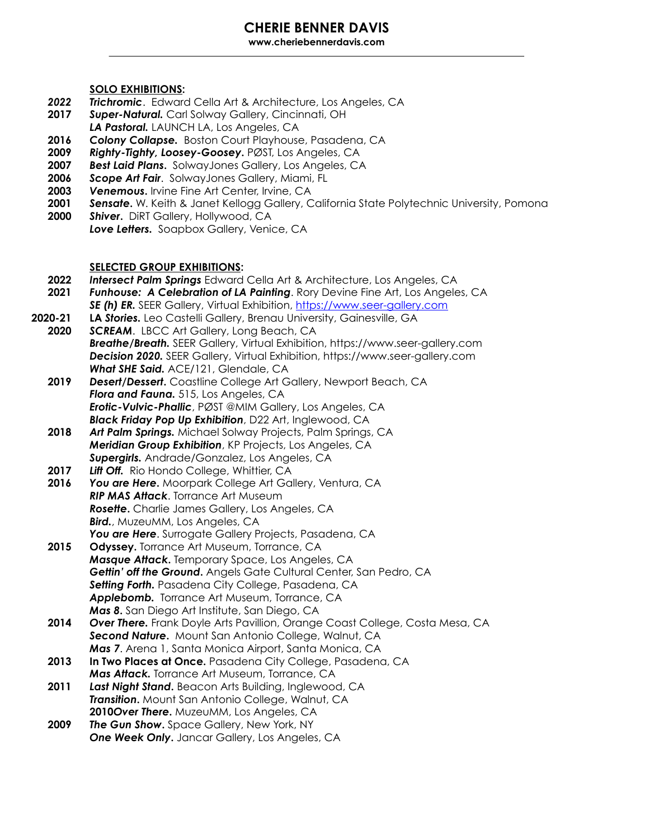# **CHERIE BENNER DAVIS**

**www.cheriebennerdavis.com**  \_\_\_\_\_\_\_\_\_\_\_\_\_\_\_\_\_\_\_\_\_\_\_\_\_\_\_\_\_\_\_\_\_\_\_\_\_\_\_\_\_\_\_\_\_\_\_\_\_\_\_\_\_\_\_\_\_\_\_\_\_\_\_\_\_\_\_\_\_\_\_\_\_\_\_\_\_\_\_\_\_\_\_\_\_\_\_\_\_\_\_\_\_\_\_\_\_\_\_\_\_\_\_\_\_\_\_\_\_\_\_\_

#### **SOLO EXHIBITIONS:**

- *2022 Trichromic*. Edward Cella Art & Architecture, Los Angeles, CA
- **2017** *Super-Natural.* Carl Solway Gallery, Cincinnati, OH
- *LA Pastoral.* LAUNCH LA, Los Angeles, CA
- **2016** *Colony Collapse.*Boston Court Playhouse, Pasadena, CA
- **2009** *Righty-Tighty, Loosey-Goosey***.** PØST, Los Angeles, CA
- **2007** *Best Laid Plans***.** SolwayJones Gallery, Los Angeles, CA
- **2006** *Scope Art Fair*. SolwayJones Gallery, Miami, FL
- **2003** *Venemous***.** Irvine Fine Art Center, Irvine, CA
- **2001** *Sensate***.** W. Keith & Janet Kellogg Gallery, California State Polytechnic University, Pomona
- **2000** *Shiver***.** DiRT Gallery, Hollywood, CA **Love Letters.** Soapbox Gallery, Venice, CA

## **SELECTED GROUP EXHIBITIONS:**

- **2022** *Intersect Palm Springs* Edward Cella Art & Architecture, Los Angeles, CA
- **2021** *Funhouse: A Celebration of LA Painting*. Rory Devine Fine Art, Los Angeles, CA **SE (h) ER.** SEER Gallery, Virtual Exhibition,<https://www.seer-gallery.com>
- **2020-21 LA** *Stories.* Leo Castelli Gallery, Brenau University, Gainesville, GA
- **2020** *SCREAM*. LBCC Art Gallery, Long Beach, CA  *Breathe/Breath.* SEER Gallery, Virtual Exhibition, https://www.seer-gallery.com *Decision 2020.* SEER Gallery, Virtual Exhibition, https://www.seer-gallery.com *What SHE Said.* ACE/121, Glendale, CA
	- **2019** *Desert/Dessert***.** Coastline College Art Gallery, Newport Beach, CA *Flora and Fauna.* 515, Los Angeles, CA*Erotic-Vulvic-Phallic*, PØST @MIM Gallery, Los Angeles, CA *Black Friday Pop Up Exhibition*, D22 Art, Inglewood, CA
	- **2018** *Art Palm Springs.* Michael Solway Projects, Palm Springs, CA *Meridian Group Exhibition*, KP Projects, Los Angeles, CA *Supergirls.* Andrade/Gonzalez, Los Angeles, CA
	- **2017** *Lift Off.* Rio Hondo College, Whittier, CA
	- **2016** *You are Here***.** Moorpark College Art Gallery, Ventura, CA  *RIP MAS Attack*. Torrance Art Museum *Rosette***.** Charlie James Gallery, Los Angeles, CA *Bird.*, MuzeuMM, Los Angeles, CA You are Here. Surrogate Gallery Projects, Pasadena, CA
	- **2015 Odyssey.** Torrance Art Museum, Torrance, CA *Masque Attack***.** Temporary Space, Los Angeles, CA *Gettin' off the Ground***.** Angels Gate Cultural Center, San Pedro, CA *Setting Forth.* Pasadena City College, Pasadena, CA **Applebomb.** Torrance Art Museum, Torrance, CA *Mas 8***.** San Diego Art Institute, San Diego, CA
	- **2014** *Over There.* Frank Doyle Arts Pavillion, Orange Coast College, Costa Mesa, CA *Second Nature***.** Mount San Antonio College, Walnut, CA *Mas 7*. Arena 1, Santa Monica Airport, Santa Monica, CA
	- **2013 In Two Places at Once.** Pasadena City College, Pasadena, CA  *Mas Attack.* Torrance Art Museum, Torrance, CA
	- **2011** *Last Night Stand***.** Beacon Arts Building, Inglewood, CA *Transition***.** Mount San Antonio College, Walnut, CA  **2010** *Over There***.** MuzeuMM, Los Angeles, CA
	- **2009** *The Gun Show***.** Space Gallery, New York, NY *One Week Only***.** Jancar Gallery, Los Angeles, CA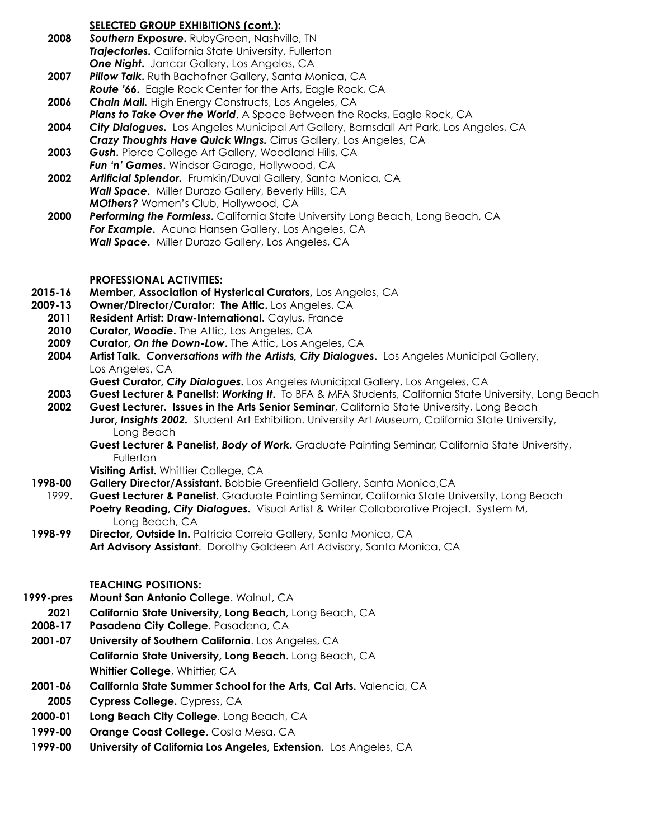## **SELECTED GROUP EXHIBITIONS (cont.):**

- **2008** *Southern Exposure***.** RubyGreen, Nashville, TN *Trajectories.* California State University, Fullerton *One Night***.** Jancar Gallery, Los Angeles, CA
- **2007** *Pillow Talk***.** Ruth Bachofner Gallery, Santa Monica, CA *Route '66***.** Eagle Rock Center for the Arts, Eagle Rock, CA
- **2006** *Chain Mail.* High Energy Constructs, Los Angeles, CA
- *Plans to Take Over the World*. A Space Between the Rocks, Eagle Rock, CA **2004** *City Dialogues.* Los Angeles Municipal Art Gallery, Barnsdall Art Park, Los Angeles, CA
- *Crazy Thoughts Have Quick Wings.* Cirrus Gallery, Los Angeles, CA
- **2003** *Gush***.** Pierce College Art Gallery, Woodland Hills, CA *Fun 'n' Games***.** Windsor Garage, Hollywood, CA
- **2002** *Artificial Splendor.* Frumkin/Duval Gallery, Santa Monica, CA *Wall Space***.** Miller Durazo Gallery, Beverly Hills, CA *MOthers?* Women's Club, Hollywood, CA
- **2000** *Performing the Formless***.** California State University Long Beach, Long Beach, CA *For Example***.** Acuna Hansen Gallery, Los Angeles, CA *Wall Space***.** Miller Durazo Gallery, Los Angeles, CA

## **PROFESSIONAL ACTIVITIES:**

- **2015-16 Member, Association of Hysterical Curators,** Los Angeles, CA
- **2009-13 Owner/Director/Curator: The Attic.** Los Angeles, CA
	- 2011 Resident Artist: Draw-International. Caylus, France
	- **2010 Curator,** *Woodie***.** The Attic, Los Angeles, CA
	- **2009 Curator,** *On the Down-Low***.** The Attic, Los Angeles, CA
	- **2004 Artist Talk.** *Conversations with the Artists, City Dialogues***.** Los Angeles Municipal Gallery, Los Angeles, CA
		- **Guest Curator,** *City Dialogues***.** Los Angeles Municipal Gallery, Los Angeles, CA
	- **2003 Guest Lecturer & Panelist:** *Working It***.** To BFA & MFA Students, California State University, Long Beach
	- **2002 Guest Lecturer. Issues in the Arts Senior Seminar**, California State University, Long Beach **Juror,** *Insights 2002.* Student Art Exhibition. University Art Museum, California State University, Long Beach
		- **Guest Lecturer & Panelist,** *Body of Work***.** Graduate Painting Seminar, California State University, Fullerton
		- **Visiting Artist.** Whittier College, CA
- **1998-00 Gallery Director/Assistant.** Bobbie Greenfield Gallery, Santa Monica,CA
- 1999. **Guest Lecturer & Panelist.** Graduate Painting Seminar, California State University, Long Beach  **Poetry Reading,** *City Dialogues***.** Visual Artist & Writer Collaborative Project. System M, Long Beach, CA
- **1998-99 Director, Outside In.** Patricia Correia Gallery, Santa Monica, CA **Art Advisory Assistant**. Dorothy Goldeen Art Advisory, Santa Monica, CA

#### **TEACHING POSITIONS:**

- **1999-pres Mount San Antonio College**. Walnut, CA
- **2021 California State University, Long Beach**, Long Beach, CA
- **2008-17 Pasadena City College**. Pasadena, CA
- **2001-07 University of Southern California**. Los Angeles, CA  **California State University, Long Beach**. Long Beach, CA **Whittier College**, Whittier, CA
- **2001-06 California State Summer School for the Arts, Cal Arts.** Valencia, CA
- **2005 Cypress College.** Cypress, CA
- **2000-01 Long Beach City College**. Long Beach, CA
- **1999-00 Orange Coast College**. Costa Mesa, CA
- **1999-00 University of California Los Angeles, Extension.** Los Angeles, CA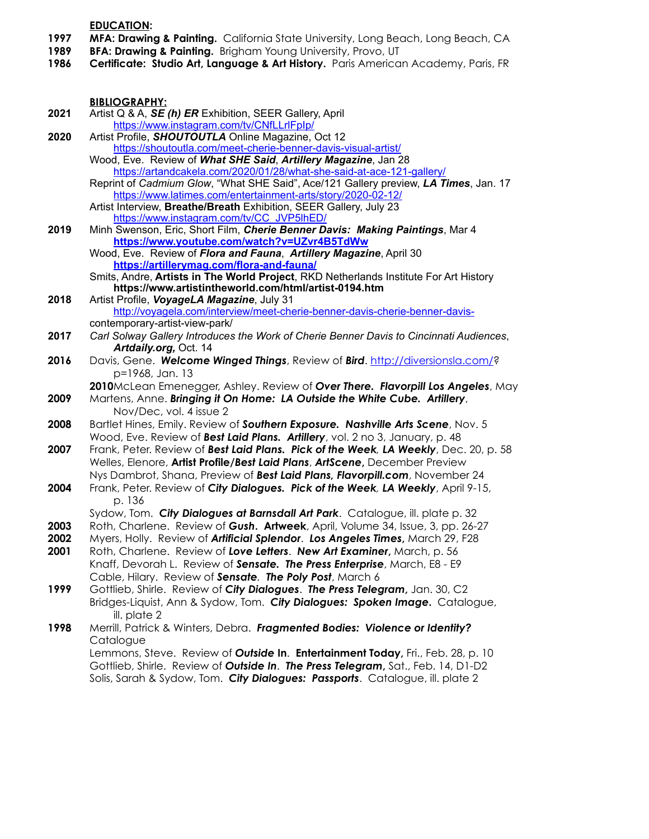**EDUCATION:** 

- **1997 MFA: Drawing & Painting.** California State University, Long Beach, Long Beach, CA
- **1989 BFA: Drawing & Painting.** Brigham Young University, Provo, UT
- **1986 Certificate: Studio Art, Language & Art History.** Paris American Academy, Paris, FR

**BIBLIOGRAPHY:**<br>**2021** Artist Q & A. SE

 **2021** Artist Q & A, *SE (h) ER* Exhibition, SEER Gallery, April <https://www.instagram.com/tv/CNfLLrlFpIp/>  **2020** Artist Profile, *SHOUTOUTLA* Online Magazine, Oct 12 <https://shoutoutla.com/meet-cherie-benner-davis-visual-artist/> Wood, Eve. Review of *What SHE Said*, *Artillery Magazine*, Jan 28 [https://artandcakela.com/2020/01/28/what-she-said-at-ace-121-gallery/](https://artandcakela.com/2020/01/28/what-she-said-at-ace-121-gallery/?fbclid=IwAR007kYxxifvf8-4SvxSG0m6fqVDuM5M5six0jz2xFz33JVdwbUbcSUM06A) Reprint of *Cadmium Glow*, "What SHE Said", Ace/121 Gallery preview, *LA Times*, Jan. 17 <https://www.latimes.com/entertainment-arts/story/2020-02-12/> Artist Interview, **Breathe/Breath** Exhibition, SEER Gallery, July 23 [https://www.instagram.com/tv/CC\\_JVP5lhED/](https://www.instagram.com/tv/CC_JVP5lhED/) **2019** Minh Swenson, Eric, Short Film, *Cherie Benner Davis: Making Paintings*, Mar 4  **<https://www.youtube.com/watch?v=UZvr4B5TdWw>** Wood, Eve. Review of *Flora and Fauna*, *Artillery Magazine*, April 30 **<https://artillerymag.com/flora-and-fauna/>** Smits, Andre, **Artists in The World Project**, RKD Netherlands Institute For Art History  **https://www.artistintheworld.com/html/artist-0194.htm 2018** Artist Profile, *VoyageLA Magazine*, July 31 [http://voyagela.com/interview/meet-cherie-benner-davis-cherie-benner-davis](http://voyagela.com/interview/meet-cherie-benner-davis-cherie-benner-davis-)  contemporary-artist-view-park/ **2017** *Carl Solway Gallery Introduces the Work of Cherie Benner Davis to Cincinnati Audiences*, *Artdaily.org,* Oct. 14 **2016** Davis, Gene. *Welcome Winged Things*, Review of *Bird*. [http://diversionsla.com/?](http://diversionsla.com/) p=1968, Jan. 13 **2010** McLean Emenegger, Ashley. Review of *Over There. Flavorpill Los Angeles*, May  **2009** Martens, Anne. *Bringing it On Home: LA Outside the White Cube. Artillery*, Nov/Dec, vol. 4 issue 2  **2008** Bartlet Hines, Emily. Review of *Southern Exposure. Nashville Arts Scene*, Nov. 5 Wood, Eve. Review of *Best Laid Plans. Artillery*, vol. 2 no 3, January, p. 48  **2007** Frank, Peter. Review of *Best Laid Plans. Pick of the Week, LA Weekly*, Dec. 20, p. 58 Welles, Elenore, **Artist Profile/***Best Laid Plans*, *ArtScene***,** December Preview Nys Dambrot, Shana, Preview of *Best Laid Plans, Flavorpill.com*, November 24 **2004** Frank, Peter. Review of *City Dialogues. Pick of the Week, LA Weekly*, April 9-15, p. 136 Sydow, Tom. *City Dialogues at Barnsdall Art Park*. Catalogue, ill. plate p. 32 **2003** Roth, Charlene. Review of *Gush***. Artweek**, April, Volume 34, Issue, 3, pp. 26-27 **2002** Myers, Holly. Review of *Artificial Splendor*. *Los Angeles Times***,** March 29, F28 **2001** Roth, Charlene. Review of *Love Letters*. *New Art Examiner***,** March, p. 56 Knaff, Devorah L. Review of *Sensate. The Press Enterprise*, March, E8 - E9 Cable, Hilary. Review of *Sensate. The Poly Post*, March 6 **1999** Gottlieb, Shirle. Review of *City Dialogues*. *The Press Telegram***,** Jan. 30, C2 Bridges-Liquist, Ann & Sydow, Tom. *City Dialogues: Spoken Image***.** Catalogue, ill. plate 2 **1998** Merrill, Patrick & Winters, Debra. *Fragmented Bodies: Violence or Identity?*Catalogue Lemmons, Steve. Review of *Outside* **In**. **Entertainment Today,** Fri., Feb. 28, p. 10 Gottlieb, Shirle. Review of *Outside In*.*The Press Telegram***,** Sat., Feb. 14, D1-D2 Solis, Sarah & Sydow, Tom. *City Dialogues: Passports*. Catalogue, ill. plate 2